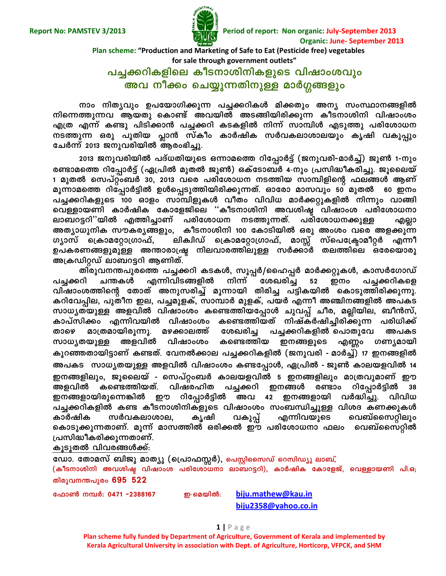

**Report No: PAMSTEV 3/2013 Period of report: Non organic: July-September 2013 Organic: June- September 2013**

#### **Plan scheme: "Production and Marketing of Safe to Eat (Pesticide free) vegetables for sale through government outlets"**

# ്പച്ചക്കറികളിലെ കീടനാശിനികളുടെ വിഷാംശവും <mark>അവ നീക്കം ചെയ്യുന്നതിനുള്ള മാർഗ്ഗങ്ങളും</mark>

 $\overline{m}$ ാം നിതൃവും ഉപയോഗിക്കുന്ന പച്ചക്കറികൾ മിക്കതും അന്യ സംസ്ഥാനങ്ങളിൽ **\ns¶¯p¶h BbXp sImv Ahbn AS§nbncn¡p¶ IoS\min\n hnjmwiw**  എത്ര എന്ന് കണ്ടു പിടിക്കാൻ പച്ചക്കറി കടകളിൽ നിന്ന് സാമ്പിൾ എടുത്തു പരിശോധന  $\overline{a}$  msത്തുന്ന ഒരു പുതിയ പ്ലാൻ സ്കീം കാർഷിക സർവകലാശാലയും കൃഷി വകുപ്പും **tNÀ¶v 2013 P\phcnbnÂ Bcw`n¨p.** 

**2013 P\phcnbnÂ ]Zv[XnbpsS H¶mas¯ dnt¸mÀ«v (P\phcn-amˬv) Pq¬ 1---\pw** രണ്ടാമത്തെ റിപ്പോർട്ട് (ഏപ്രിൽ മുതൽ ജൂൺ) ഒക്ടോബർ 4-നും പ്രസിദ്ധീകരിച്ചു. ജൂലൈയ്<br>1 മുതൽ സെപ്റ്റംബർ 30, 2013 വരെ പരിശോധന നടത്തിയ സാമ്പിളിന്റെ ഫലങ്ങൾ ആണ് മൂന്നാമത്തെ റിപ്പോർട്ടിൽ ഉൾപ്പെടുത്തിയിരിക്കുന്നത്. ഓരോ മാസവും 50 മുതൽ 60 ഇനം **]¨¡dnIfpsS 100 Hmfw km¼nfpIÄ hoXw hnhn[ amÀ¡äpIfnÂ \n¶pw hm§n**  വെള്ളായണി കാർഷിക കോളേജിലെ ''കീടനാശിനി അവശിഷ്ട വിഷാംശ പരിശോധനാ<br>ലാബറട്ടറി''യിൽ എത്തിച്ചാണ് പരിശോധന നടത്തുന്നത്. പരിശോധനക്കുള്ള എല്ലാ ്ലാബറട്ടറി''യിൽ എത്തിച്ചാണ് പരിശോധന നടത്തുന്നത്. പരിശോധനക്കുള്ള എല്ലാ  $\alpha$ 3 ആര്യുനിക സൗകര്യങ്ങളും, കീടനാശിനി 100 കോടിയിൽ ഒരു അംശം വരെ അളക്കുന്ന<br>ഗ്യാസ് ക്രൊമറ്റോഗ്രാഫ്, ലികിഡ് ക്രൊമറ്റോഗ്രാഫ്, മാസ്സ് സ്പെക്രോമീറ്റർ എന്നീ ് ലികിഡ് ക്രൊമറ്റോഗ്രാഫ്, മാസ്സ് സ്പെക്ട്രോമീറ്റർ എന്നീ ഉപകരണങ്ങളുമുള്ള അന്താരാഷ്ട്ര നിലവാരത്തിലുള്ള സർക്കാർ തലത്തിലെ ഒരേയൊരു<br>അക്രഡിറ്റഡ് ലാബറട്ടറി ആണിത്.

തിരുവനന്തപുരത്തെ പച്ചക്കറി കടകൾ, സൂപ്പർ/ഹൈപ്പർ മാർക്കറ്റുകൾ, കാസർഗോഡ്<br>റി ചന്തകൾ എന്നിവിടങ്ങളിൽ നിന്ന് ശേഖരിച്ച 52 ഇനം പച്ചക്കറികളെ പച്ചക്കറി ചന്തകൾ എന്നിവിടങ്ങളിൽ നിന്ന് ശേഖരിച്ച 52 ഇനം പച്ചക്കറികളെ<br>വിഷാംശത്തിന്റെ തോത് അനുസരിച്ച് മൂന്നായി തിരിച്ച പട്ടികയിൽ കൊടുത്തിരിക്കുന്നു. **hnjmwi¯nsâ tXmXv A\pkcn¨v aq¶mbn Xncn¨ ]«nIbn sImSp¯ncn¡p¶p. Idnth¸ne, ]pXo\ Ce, ]¨apfIv, km¼mÀ apfIv, ]bÀ F¶o A©n\§fnÂ A]IS**  സാധ്യതയുള്ള അളവിൽ വിഷാംശം കണ്ടെത്തിയപ്പോൾ ചുവപ്പ് ചീര, മല്ലിയില, ബീൻസ്,<br>കാപ്സിക്കം എന്നിവയിൽ വിഷാംശം കണ്ടെത്തിയത് നിഷ്കർഷിച്ചിരിക്കുന്ന പരിധിക്ക്<br>താഴെ മാത്രമായിരുന്നൂ. മഴക്കാലത്ത് ശേഖരിച്ച പച്ചക്കറികളിൽ പൊതുവേ അ താഴെ മാത്രമായിരൂന്നൂ. മഴക്കാലത്ത് ശേഖരിച്ച പച്ചക്കറികളിൽ-പൊതുവേ അപകട<br>സാധ്യതയുള്ള അളവിൽ വിഷാംശം കണ്ടെത്തിയ ഇനങ്ങളുടെ എണ്ണം ഗണ്യമായി  $k$ സാധ്യതയുള്ള അളവിൽ വിഷാംശം കണ്ടെത്തിയ ഇനങ്ങളുടെ എണ്ണം ഗണ്യമായി **IpdªXmbn«mWv IXv. th\¡me ]¨¡dnIfnÂ (P\phcn- - amˬv) 17 C\§fnÂ A]IS km[yXbpŠAfhn hnjmwiw It¸mÄ, G{]nÂ - Pq¬ ImebfhnÂ 14**  ഇനങ്ങളിലും, ജൂലൈയ് - സെപ്റ്റംബർ കാലയളവിൽ 5 ഇനങ്ങളിലും മാത്രവുമാണ് ഈ<br>അളവിൽ കണ്ടെത്തിയത്. വിഷരഹിത പച്ചക്കറി ഇനങ്ങൾ രണ്ടാം റിപ്പോർട്ടിൽ 38 **AfhnÂ Is¯nbXv. hnjclnX ]¨¡dn C\§Ä cmw dnt¸mÀ«nÂ 38 C\§fmbncps¶¦nÂ Cu dnt¸mÀ«n Ah 42 C\§fmbn hÀ²n¨p. hnhn[** പച്ചക്കറികളിൽ കണ്ട കീടനാശിനികളുടെ വിഷാംശം സംബന്ധിച്ചുള്ള വിശദ കണക്കുകൾ കാർഷിക സർവകലാശാല, കൃഷി വകുപ്പ് എന്നിവയുടെ വെബ്സൈറ്റിലും<br>കൊടുക്കുന്നതാണ്. മൂന്ന് മാസത്തിൽ ഒരിക്കൽ ഈ പരിശോധനാ ഫലം വെബ്സൈറ്റിൽ<br>പ്രസിദ്ധീകരിക്കുന്നതാണ്.

# <u>കൂടുതൽ വിവരങ്ങൾക്ക്:</u>

**tUm. tXmakv \_nPp amXyp (s{]m^ÊÀ), s]ÌnsskUv sdknUyp em\_,v**

(കീടനാശിനി അവശിഷ്ട വിഷാംശ പരിശോധനാ ലാബറട്ടറി), കാർഷിക കോളേജ്, വെള്ളായണി പി.ഒ<del>,</del> **Xncph\´]pcw 695 522-**

**t^m¬ \¼À: 0471 -2388167 C-**-**sabnÂ:**

**[biju.mathew@kau.in](mailto:biju.mathew@kau.in) [biju2358@yahoo.co.in](mailto:biju2358@yahoo.co.in)**

**Plan scheme fully funded by Department of Agriculture, Government of Kerala and implemented by Kerala Agricultural University in association with Dept. of Agriculture, Horticorp, VFPCK, and SHM**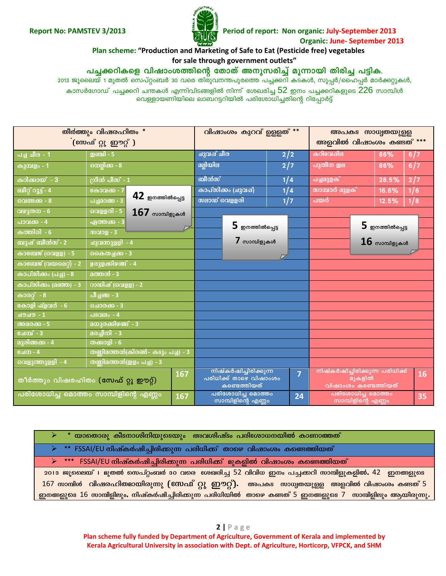

Period of report: Non organic: July-September 2013 **Organic: June- September 2013** 

#### Plan scheme: "Production and Marketing of Safe to Eat (Pesticide free) vegetables for sale through government outlets"

പച്ചക്കറികളെ വിഷാംശത്തിന്റെ തോത് അനുസരിച്ച് മൂന്നായി തിരിച്ച പട്ടിക.

2013 ജൂലൈയ് 1 മുതൽ സെപ്റ്റംബർ 30 വരെ തിരുവനന്തപുരത്തെ പച്ചക്കറി കടകൾ, സൂപ്പർ/ഹൈപ്പർ മാർക്കറ്റുകൾ, കാസർഗോഡ് പച്ചക്കറി ചന്തകൾ എന്നിവിടങ്ങളിൽ നിന്ന് ശേഖരിച്ച  $52$  ഇനം പച്ചക്കറികളുടെ  $226$  സാമ്പിൾ

വെള്ളായണിയിലെ ലാബറട്ടറിയിൽ പരിശോധിച്ചതിന്റെ റിപ്പോർട്ട്

| തീർത്തും വിഷരഹിതം *<br>(സേഫ് റ്റു ഈറ്റ് )   |                                      |             | വിഷാംശം കുറവ് ഉള്ളത്**                                          |                | അപകട സാധ്വതയുള്ള<br>അളവിൽ വിഷാംശം കണ്ടത് ***                      |                            |     |
|---------------------------------------------|--------------------------------------|-------------|-----------------------------------------------------------------|----------------|-------------------------------------------------------------------|----------------------------|-----|
| <b>പച്ച</b> ചീര - 1                         | <b>ഇഞ്ചി</b> - 5                     | ചുവപ്പ് ചീര |                                                                 | 2/2            | കറിവേഷില                                                          | 86%                        | 6/7 |
| <b>കുമ്പളം</b> - 1                          | നെല്ലിക്ക - 8                        | മല്ലിയില    |                                                                 | 2/7            | പുതീന ഇല                                                          | 86%                        | 6/7 |
| <b>കറിക്കായ്</b> - 3                        | <u>(</u> ഗീൻ പീസ് - 1                | ബീൻസ്       |                                                                 | 1/4            | <mark>പച്ചമുളക</mark> ്                                           | 28.5%                      | 2/7 |
| ബീറ്റ് റൂട്ട് - 4                           | കോവക്ക - 7                           |             | കാപ്സിക്കം (ചുവപ്)                                              | 1/4            | സാമ്പാർ മുളക്                                                     | 16.6%                      | 1/6 |
| വെണ്ടക്ക - 8                                | $42$ ഇനത്തിൽപ്പെട്ട<br>പച്ചമാങ്ങ - 3 |             | സലാഡ് വെള്ളരി                                                   | 1/7            | പയർ                                                               | 12.5%                      | 1/8 |
| വഴുതന - 6                                   | വെള്ളരി - 5<br>$167$ സാമ്പിളുകൾ      |             |                                                                 |                |                                                                   |                            |     |
| പാവക്ക - 4                                  | ഏത്തക്ക - 3                          |             | $\bf 5$ ഇനത്തിൽപ്പെട്ട                                          |                |                                                                   | $\mathbf 5$ ഇനത്തിൽപ്പെട്ട |     |
| <u> കത്തിരി - 6</u>                         | സവാള - 3                             |             |                                                                 |                |                                                                   |                            |     |
| ബുഷ് ബീൻസ് - 2                              | ചുവന്നുള്ളി - 4                      |             | $\boldsymbol{7}$ സാമ്പിളുകൾ                                     |                |                                                                   | ${\bf 16}$ സാമ്പിളുകൾ      |     |
| കാബേജ് (വെളള) - 5                           | കൈതച്ചക്ക - 3                        |             |                                                                 |                |                                                                   |                            |     |
| കാബേജ് (വയലെറ്റ്) - 2                       | ഉരുളക്കിഴങ്ങ് - 4                    |             |                                                                 |                |                                                                   |                            |     |
| കാപ്സിക്കം (പച്ച) - 8                       | <u> മത്തൻ - 3</u>                    |             |                                                                 |                |                                                                   |                            |     |
| <u>കാപ്സിക്കം (മഞ്ഞ) - 3</u>                | <u>റാഡിഷ് (വെളള) - 2</u>             |             |                                                                 |                |                                                                   |                            |     |
| കാരറ്റ് - 8                                 | പീച്ചങ്ങ - 3                         |             |                                                                 |                |                                                                   |                            |     |
| കോളി ഫ്ളവർ - 6                              | ചൊരക്ക - 3                           |             |                                                                 |                |                                                                   |                            |     |
| $1 - 0.000$                                 | <b>പടവലം - 4</b>                     |             |                                                                 |                |                                                                   |                            |     |
| അമരക്ക് - 5                                 | മധുരക്കിഴങ്ങ് - 3                    |             |                                                                 |                |                                                                   |                            |     |
| <b>ചേമ്പ്</b> - 3                           | മരച്ചീനി - 3                         |             |                                                                 |                |                                                                   |                            |     |
| <u> മുരിങ്ങക്ക - 4</u>                      | തക്കാളി - 6                          |             |                                                                 |                |                                                                   |                            |     |
| ചേന - 4                                     | തണിമത്തൻ(കിരൺ- കടും പച്ച) - 3        |             |                                                                 |                |                                                                   |                            |     |
| വെളുത്തുളളി - 4                             | തണ്ണിമത്തൻ(ഇളം പച്ച) - 3             |             |                                                                 |                |                                                                   |                            |     |
| 167<br>തീർത്തും വിഷരഹിതം (സേഫ് റ്റു ഈറ്റ്)  |                                      |             | നിഷ്കർഷിച്ചിരിക്കുന്ന<br>പരിധിക്ക് താഴെ വിഷാംശം<br>കണ്ടെത്തിയത് | $\overline{7}$ | നിഷ്കർഷിച്ചിരിക്കുന്ന പരിധിക്ക്<br>മുകളിൽ<br>വിഷാംശം കണ്ടെത്തിയത് |                            | 16  |
| പരിശോധിച്ച മൊത്തം സാമ്പിളിന്റെ എണ്ണം<br>167 |                                      |             | പരിശോധിച്ച മൊത്തം<br>സാമ്പിളിന്റെ എണ്ണം                         | 24             | പരിശോധിച്ച മൊത്തം<br>സാമ്പിളിന്റെ എണ്ണം                           |                            | 35  |

| $\triangleright$ * യാതൊരു കീടനാശിനിയുടെയും  അവശിഷ്ടം പരിശോധനയിൽ കാണാത്തത്                                 |
|-----------------------------------------------------------------------------------------------------------|
| $\triangleright$ ** FSSAI/EU നിഷ്കർഷിച്ചിരിക്കുന്ന പരിധിക്ക് താഴെ വിഷാംശം കണ്ടെത്തിയത്                    |
| $\triangleright$ *** FSSAI/EU നിഷ്കർഷിച്ചിരിക്കുന്ന പരിധിക്ക് മുകളിൽ വിഷാംശം കണ്ടെത്തിയത്                 |
| 2013 ജൂലൈയ് പജ്യതൽ സെപ്റ്റംബർ 30 വരെ ശേഖരിച്ച 52 വിവിധ ഇനം പച്ചക്കറി സാമ്പിളുകളിൽ, 42 ഇനങ്ങളുടെ           |
| 167 സാമ്പിൾ വിഷരഹിതമായിരുന്നു (സേഫ് റ്റു ഈറ്റ്). അപകട സാധ്വതയുള്ള അളവിൽ വിഷാംശം കണ്ടത് 5                  |
| ഇനങ്ങളുടെ 16 സാമ്പിളിലും, നിഷ്കർഷിച്ചിരിക്കുന്ന പരിധിയിൽ താഴെ കണ്ടത് 5 ഇനങ്ങളുടെ 7 സാമ്പിളിലും ആയിരുന്നു. |

 $2 | P \text{age}$ Plan scheme fully funded by Department of Agriculture, Government of Kerala and implemented by Kerala Agricultural University in association with Dept. of Agriculture, Horticorp, VFPCK, and SHM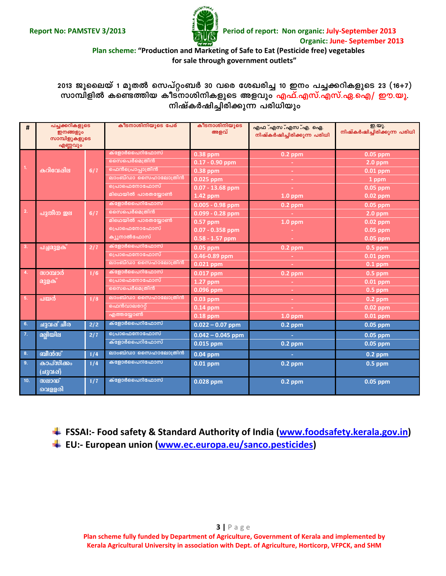

#### **Plan scheme: "Production and Marketing of Safe to Eat (Pesticide free) vegetables for sale through government outlets"**

**2013 Pqssebv 1 apXÂ sk]väw\_À 30 hsc tiJcn¨ 10 C\w ]¨¡dnIfpsS 23 (16+7)** km) സാമ്പിളിൽ കണ്ടെത്തിയ കീട്നാശിനികളുടെ അളവും <mark>എഫ്.എസ്.എസ്.എ.ഐ/ ഈ.യു.</mark><br>നിഷ്കർഷിച്ചിരിക്കുന്ന പരിധിയും

| #   | പച്ചക്കറികളുടെ<br><b>ഇനങ്ങളും</b><br>സാമ്പിളുകളുടെ<br>എണ്ണവും |     | കീടനാശിനിയുടെ പേര്  | കീടനാശിനിയുടെ<br>അളവ് | എഫ .എസ .എസ .എ. ഐ.<br>നിഷ്കർഷിച്ചിരിക്കുന്ന പരിധി | ഇ.യു.<br>നിഷ്കർഷിച്ചിരിക്കുന്ന പരിധി |
|-----|---------------------------------------------------------------|-----|---------------------|-----------------------|--------------------------------------------------|--------------------------------------|
|     |                                                               |     | ക്ളോർപൈറിഫോസ്       | $0.38$ ppm            | $0.2$ ppm                                        | 0.05 ppm                             |
|     |                                                               |     | നൈപെർമെത്രിൻ        | $0.17 - 0.90$ ppm     |                                                  | $2.0$ ppm                            |
| 1.  | കറിവേഷില                                                      | 6/7 | ഫെൻപ്രൊപ്പാത്രിൻ    | $0.38$ ppm            | $\sim$                                           | $0.01$ ppm                           |
|     |                                                               |     | ലാംബ്ഡാ സൈഹാലോത്രിൻ | $0.025$ ppm           | ÷.                                               | 1 ppm                                |
|     |                                                               |     | പ്രൊഫെനോഫോസ്        | $0.07 - 13.68$ ppm    | $\sim$                                           | $0.05$ ppm                           |
|     |                                                               |     | മിഥെയിൽ പാരതയ്യോൺ   | 1.42 ppm              | $1.0$ ppm                                        | 0.02 ppm                             |
|     |                                                               |     | ക്ളോർപൈറിഫോസ്       | $0.005 - 0.98$ ppm    | 0.2 ppm                                          | 0.05 ppm                             |
| 2.  | പുതീന ഇല                                                      | 6/7 | നൈപെർമെത്രിൻ        | $0.099 - 0.28$ ppm    |                                                  | $2.0$ ppm                            |
|     |                                                               |     | മിഥെയിൽ പാരതയ്യോൺ   | $0.57$ ppm            | $1.0$ ppm                                        | $0.02$ ppm                           |
|     |                                                               |     | പ്രൊഫെനോഫോസ്        | $0.07 - 0.358$ ppm    |                                                  | 0.05 ppm                             |
|     |                                                               |     | ക്യുനാൽഫോസ്         | $0.58 - 1.57$ ppm     | $\sim$                                           | 0.05 ppm                             |
| 3.  | പച്ചമുളക്                                                     | 2/7 | ക്ളോർപൈറിഫോസ്       | $0.05$ ppm            | $0.2$ ppm                                        | $0.5$ ppm                            |
|     |                                                               |     | <u>പ്രൊഫെനോഫോസ്</u> | 0.46-0.89 ppm         | ÷.                                               | $0.01$ ppm                           |
|     |                                                               |     | ലാംബ്ഡാ സൈഹാലോത്രിൻ | 0.021 ppm             | ×.                                               | $0.1$ ppm                            |
| 4.  | സാമ്പാർ                                                       | 1/6 | ക്ളോർപൈറിഫോസ്       | 0.017 ppm             | $0.2$ ppm                                        | $0.5$ ppm                            |
|     | മുളക്                                                         |     | പ്രൊഫെനോഫോസ്        | $1.27$ ppm            |                                                  | $0.01$ ppm                           |
|     |                                                               |     | സൈപെർമെത്രിൻ        | $0.096$ ppm           | ÷                                                | $0.5$ ppm                            |
| 5.  | പയർ                                                           | 1/8 | ലാംബ്ഡാ സൈഹാലോത്രിൻ | $0.03$ ppm            | $\sim$                                           | $0.2$ ppm                            |
|     |                                                               |     | ഫെൻവാലറേറ്റ്        | $0.14$ ppm            |                                                  | $0.02$ ppm                           |
|     |                                                               |     | എത്തയ്യോൺ           | $0.18$ ppm            | $1.0$ ppm                                        | $0.01$ ppm                           |
| 6.  | ചുവപ്പ് ചീര                                                   | 2/2 | ക്ളോർപൈറിഫോസ്       | $0.022 - 0.07$ ppm    | $0.2$ ppm                                        | $0.05$ ppm                           |
| 7.  | <b>ம</b> ழ்மு வ                                               | 2/7 | പ്രൊഫെനോഫോസ്        | $0.042 - 0.045$ ppm   |                                                  | $0.05$ ppm                           |
|     |                                                               |     | ക്ളോർപൈറിഫോസ്       | 0.015 ppm             | $0.2$ ppm                                        | 0.05 ppm                             |
| 8.  | ബീൻസ്                                                         | 1/4 | ലാംബ്ഡാ സൈഹാലോത്രിൻ | $0.04$ ppm            | ъ.                                               | 0.2 ppm                              |
| 9.  | കാപ്സിക്കം                                                    | 1/4 | ക്ളോർപൈറിഫോസ്       | $0.01$ ppm            | $0.2$ ppm                                        | $0.5$ ppm                            |
|     | (ചുവപ്പ്)                                                     |     |                     |                       |                                                  |                                      |
| 10. | സലാഡ്                                                         | 1/7 | ക്ളോർപൈറിഫോസ്       | 0.028 ppm             | $0.2$ ppm                                        | 0.05 ppm                             |
|     | വെള്ളരി                                                       |     |                     |                       |                                                  |                                      |

**FSSAI:- Food safety & Standard Authority of India [\(www.foodsafety.kerala.gov.in\)](http://www.foodsafety.kerala.gov.in/)**

**EU:- European union [\(www.ec.europa.eu/sanco.pesticides\)](http://www.ec.europa.eu/sanco.pesticides)**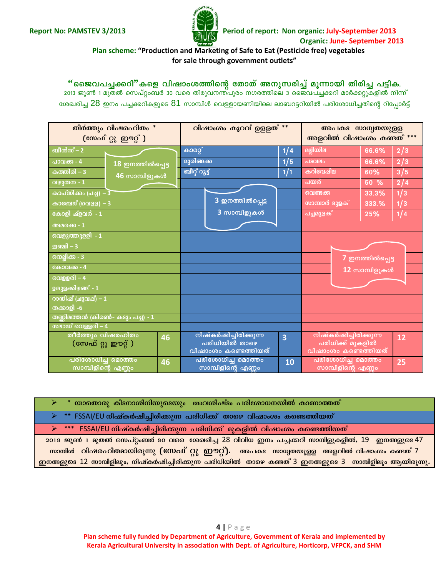

Period of report: Non organic: July-September 2013 **Organic: June- September 2013** 

#### Plan scheme: "Production and Marketing of Safe to Eat (Pesticide free) vegetables for sale through government outlets"

"ജൈവപച്ചക്കറി"കളെ വിഷാംശത്തിന്റെ തോത് അനുസരിച്ച് മൂന്നായി തിരിച്ച പട്ടിക. 2013 ജൂൺ 1 മുതൽ സെപ്റ്റംബർ 30 വരെ തിരുവനന്ത്പുരം നഗരത്തിലെ 3 ജൈവപച്ചക്കറി മാർക്കറ്റുകളിൽ നിന്ന്

ശേഖരിച്ച  $28$  ഇനം പച്ചക്കറികളുടെ  $81$  സാമ്പിൾ വെള്ളായണിയിലെ ലാബറട്ടറിയിൽ പരിശോധിച്ചതിന്റെ റിപ്പോർട്ട്

| തീർത്തും വിഷരഹിതം *                           | വിഷാംശം കുറവ് ഉള്ളത്**                                            | അപകട സാധ്വതയുള്ള                                |  |
|-----------------------------------------------|-------------------------------------------------------------------|-------------------------------------------------|--|
| (ဧ <b>സഫ്</b> റ്റു ഈറ്റ് )                    |                                                                   | അളവിൽ വിഷാംശം കണ്ടത് ***                        |  |
| ബീൻസ് $-2$                                    | കാരറ്റ്<br>1/4                                                    | മല്ലിയില<br>66.6%<br>2/3                        |  |
| പാവക്ക - 4<br>$18$ ഇനത്തിൽപ്പെട്ട             | മുരിങ്ങക്ക<br>1/5                                                 | 2/3<br>പടവലം<br>66.6%                           |  |
| കത്തിരി $-3$<br>46 സാമ്പിളുകൾ                 | ബീറ്റ് റൂട്ട്<br>1/1                                              | കറിവേഷില<br>3/5<br>60%                          |  |
| വഴുതന - 1                                     |                                                                   | 2/4<br>പയർ<br>50 %                              |  |
| <u>കാപ്സിക്കം (പച്ച്) –3</u>                  |                                                                   | 1/3<br>33.3%<br>വെണ്ടക്ക                        |  |
| കാബേജ് (വെളള) - 3                             | 3 ഇനത്തിൽപ്പെട്ട                                                  | <u>സാമ്പാർ മുളക്</u><br>1/3<br>333.%            |  |
| കോളി ഫ്ളവർ - 1                                | 3 സാമ്പിളുകൾ                                                      | പച്ചമുളക്<br>1/4<br>25%                         |  |
| അമരക്ക - 1                                    |                                                                   |                                                 |  |
| വെളുത്തുള്ളി - 1                              |                                                                   |                                                 |  |
| ഇഞ്ചി $-3$                                    |                                                                   |                                                 |  |
| <u>നെല്ലിക്ക - 3</u>                          |                                                                   | 7 ഇനത്തിൽപ്പെട്ട                                |  |
| കോവക്ക - 4                                    |                                                                   | 12 സാമ്പിളുകൾ                                   |  |
| വെള്ളരി – 4                                   |                                                                   |                                                 |  |
| ഉരുളക്കിഴങ്ങ് - 1                             |                                                                   |                                                 |  |
| റായിഷ് (ചുവപ്പ്) – 1                          |                                                                   |                                                 |  |
| തക്കാളി -6                                    |                                                                   |                                                 |  |
| തണ്ണിമത്തൻ (കിരൺ- കടും പച്ച) - 1              |                                                                   |                                                 |  |
| സലാഡ് വെള്ളരി – 4                             |                                                                   |                                                 |  |
| തീർത്തും വിഷരഹിതം<br>46<br>(സേഫ് റ്റു ഈറ്റ് ) | നിഷ്കർഷിച്ചിരിക്കുന്ന<br>$\overline{\mathbf{3}}$<br>പരിധിയിൽ താഴെ | നിഷ്കർഷിച്ചിരിക്കുന്ന<br>12<br>പരിധിക്ക് മുകളിൽ |  |
|                                               | വിഷാംശം കണ്ടെത്തിയത്                                              | വിഷാംശം കണ്ടെത്തിയത്                            |  |
| പരിശോധിച്ച മൊത്തം<br>46<br>സാമ്പിളിന്റെ എണ്ണം | പരിശോധിച്ച മൊത്തം<br>10<br>സാമ്പിളിന്റെ എണ്ണം                     | പരിശോധിച്ച മൊത്തം<br>25<br>സാമ്പിളിന്റെ എണ്ണം   |  |

 $^\ast$  യാതൊരു കീടനാശിനിയുടെയും അവശിഷ്ടം പരിശോധനയിൽ കാണാത്തത് FSSAI/EU നിഷ്കർഷിച്ചിരിക്കുന്ന പരിധിക്ക് താഴെ വിഷാംശം കണ്ടെത്തിയത്  $***$  FSSAI/EU നിഷ്കർഷിച്ചിരിക്കുന്ന പരിധിക്ക് മുകളിൽ വിഷാംശം കണ്ടെത്തിയത്  $\blacktriangleright$ 2013 ജൂൺ 1 മുതൽ സെപ്റ്റംബർ 30 വരെ ശേഖരിച്ച 28 വിവിധ ഇനം പച്ചക്കറി സാമ്പിളുകളിൽ, 19 ഇനങ്ങളുടെ 47 സാമ്പിൾ വിഷരഹിതമായിരുന്നു (സേഫ് റ്റു ഈറ്റ്). അപകട സാധ്വതയുള്ള അളവിൽ വിഷാംശം കണ്ടത് 7 ഇനങ്ങളുടെ 12 സാമ്പിളിലും, നിഷ്കർഷിച്ചിരിക്കുന്ന പരിധിയിൽ താഴെ കണ്ടത് 3 ഇനങ്ങളുടെ 3 സാമ്പിളിലും ആയിരുന്നു.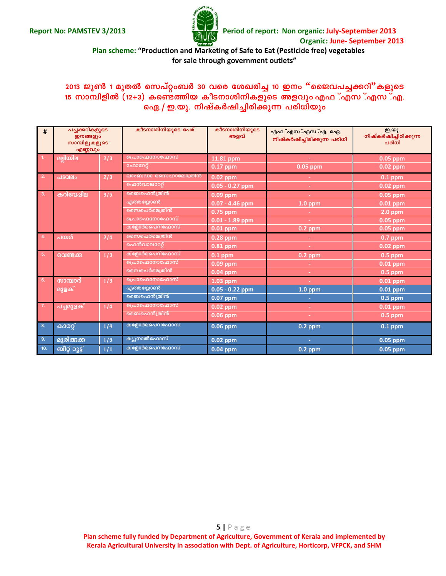

#### **Plan scheme: "Production and Marketing of Safe to Eat (Pesticide free) vegetables for sale through government outlets"**

## $2013$  ജൂൺ 1 മുതൽ സെപ്റ്റംബർ 30 വരെ ശേഖരിച്ച 10 ഇനം "ജൈവപച്ചക്കറി"കളുടെ 15 സാമ്പിളിൽ (12+3) കണ്ടെത്തിയ കീടനാശിനികളുടെ അളവും എഫ*്*.എസ*്*.എ.  $\sigma$  ഐ./ ഇ.യു. നിഷ്കർഷിച്ചിരിക്കുന്ന പരിധിയും

| #   | പച്ചക്കറികളുടെ<br>ഇനങ്ങളും<br>സാമ്പിളുകളുടെ<br>എണ്ണവും |     | കീടനാശിനിയുടെ പേര്  | കീടനാശിനിയുടെ<br>അളവ് | . എഫ . എസ . എസ . എ. , ഐ.<br>നിഷ്കർഷിച്ചിരിക്കുന്ന പരിധി | ഇ.യു.<br>നിഷ്കർഷിച്ചിരിക്കുന്ന<br>പരിധി |
|-----|--------------------------------------------------------|-----|---------------------|-----------------------|---------------------------------------------------------|-----------------------------------------|
| -1. | <u>രല്ലിയില</u>                                        | 2/3 | ൭പ്രാഫെനോഫോസ്       | 11.81 ppm             |                                                         | $0.05$ ppm                              |
|     |                                                        |     | ഫോറേറ്റ്            | 0.17 ppm              | 0.05 ppm                                                | $0.02$ ppm                              |
| 2.  | പടവലം                                                  | 2/3 | ലാംബ്ഡാ സൈഹാലോത്രിൻ | $0.02$ ppm            |                                                         | $0.1$ ppm                               |
|     |                                                        |     | ഫെൻവാലറേറ്റ്        | $0.05 - 0.27$ ppm     |                                                         | $0.02$ ppm                              |
| 3.  | കറിവേഷില                                               | 3/5 | ബൈഫെൻത്രിൻ          | $0.09$ ppm            |                                                         | $0.05$ ppm                              |
|     |                                                        |     | എത്തയ്യോൺ           | $0.07 - 4.46$ ppm     | $1.0$ ppm                                               | $0.01$ ppm                              |
|     |                                                        |     | നൈപെർമെത്രിൻ        | $0.75$ ppm            |                                                         | $2.0$ ppm                               |
|     |                                                        |     | <u>പ്രൊഫെനോഫോസ്</u> | $0.01 - 1.89$ ppm     |                                                         | 0.05 ppm                                |
|     |                                                        |     | ക്ളോർപൈറിഫോസ്       | $0.01$ ppm            | $0.2$ ppm                                               | $0.05$ ppm                              |
| 4.  | പയർ                                                    | 2/4 | സൈപെർമെത്രിൻ        | $0.28$ ppm            |                                                         | $0.7$ ppm                               |
|     |                                                        |     | ഫെൻവാലറേറ്റ്        | 0.81 ppm              |                                                         | 0.02 ppm                                |
| 5.  | വെണ്ടക്ക                                               | 1/3 | ക്ളോർപൈറിഫോസ്       | $0.1$ ppm             | $0.2$ ppm                                               | $0.5$ ppm                               |
|     |                                                        |     | പ്രൊഫെനോഫോസ്        | 0.09 ppm              |                                                         | $0.01$ ppm                              |
|     |                                                        |     | സൈപെർമെത്രിൻ        | $0.04$ ppm            |                                                         | $0.5$ ppm                               |
| 6.  | സാമ്പാർ                                                | 1/3 | പ്രൊഫെനോഫോസ്        | $1.03$ ppm            |                                                         | $0.01$ ppm                              |
|     | <u> മുളക് </u>                                         |     | എത്തയ്യോൺ           | $0.05 - 0.22$ ppm     | $1.0$ ppm                                               | 0.01 ppm                                |
|     |                                                        |     | മൈഫെൻത്രിൻ          | 0.07 ppm              |                                                         | $0.5$ ppm                               |
| 7.  | പച്ചമുളക്                                              | 1/4 | പ്രൊഫെനോഫോസ്        | $0.02$ ppm            |                                                         | $0.01$ ppm                              |
|     |                                                        |     | മൈഫെൻത്രിൻ          | 0.06 ppm              |                                                         | $0.5$ ppm                               |
| 8.  | കാരറ്റ്                                                | 1/4 | ക്ളോർപൈറിഫോസ്       | $0.06$ ppm            | $0.2$ ppm                                               | $0.1$ ppm                               |
| 9.  | മുരിങ്ങക്ക                                             | 1/5 | ക്യൂനാൽഫോസ്         | 0.02 ppm              | ÷                                                       | $0.05$ ppm                              |
| 10. | <mark>ബീറ്റ് റൂട്</mark> ,                             | 1/1 | ക്ളോർപൈറിഫോസ്       | $0.04$ ppm            | $0.2$ ppm                                               | 0.05 ppm                                |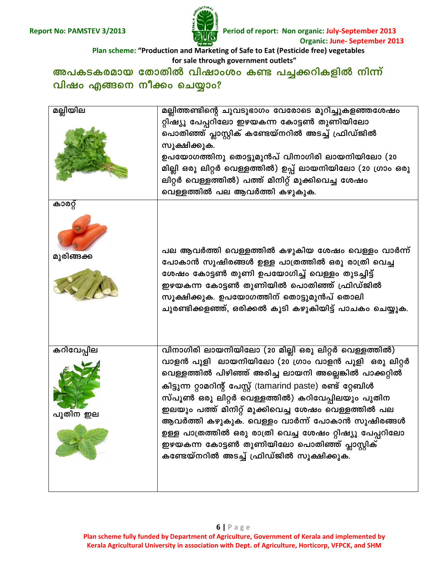

Period of report: Non organic: July-September 2013 **Organic: June- September 2013** 

Plan scheme: "Production and Marketing of Safe to Eat (Pesticide free) vegetables for sale through government outlets"

അപകടകരമായ തോതിൽ വിഷാംശം കണ്ട പച്ചക്കറികളിൽ നിന്ന് വിഷം എങ്ങനെ നീക്കം ചെയ്യാം?

| മല്ലിയില               | മല്ലിത്തണ്ടിന്റെ ചുവടുഭാഗം വേരോടെ മുറിച്ചുകളഞ്ഞശേഷം                                                                                                                                                                                                                                                                                                                                                                                                                                                                                                          |
|------------------------|--------------------------------------------------------------------------------------------------------------------------------------------------------------------------------------------------------------------------------------------------------------------------------------------------------------------------------------------------------------------------------------------------------------------------------------------------------------------------------------------------------------------------------------------------------------|
|                        | റ്റിഷ്യൂ പേപ്പറിലോ ഇഴയകന്ന കോട്ടൺ തുണിയിലോ<br>പൊതിഞ്ഞ് പ്ലാസ്റ്റിക് കണ്ടേയ്നറിൽ അടച്ച് ഫ്രിഡ്ജിൽ<br>സൂക്ഷിക്കുക.<br>ഉപയോഗത്തിനു തൊട്ടുമുൻപ് വിനാഗിരി ലായനിയിലോ (20<br>മില്ലി ഒരു ലിറ്റർ വെള്ളത്തിൽ) ഉപ്പ് ലായനിയിലോ (20 ഗ്രാം ഒരു<br>ലിറ്റർ വെള്ളത്തിൽ) പത്ത് മിനിറ്റ് മുക്കിവെച്ച ശേഷം<br>വെള്ളത്തിൽ പല ആവർത്തി കഴുകുക.                                                                                                                                                                                                                                     |
| കാരറ്റ്<br>മുരിങ്ങക്ക  | പല ആവർത്തി വെള്ളത്തിൽ കഴുകിയ ശേഷം വെള്ളം വാർന്ന്<br>പോകാൻ സുഷിരങ്ങൾ ഉള്ള പാത്രത്തിൽ ഒരു രാത്രി വെച്ച<br>ശേഷം കോട്ടൺ തുണി ഉപയോഗിച്ച് വെള്ളം തുടച്ചിട്ട്<br>ഇഴയകന്ന കോട്ടൺ തുണിയിൽ പൊതിഞ്ഞ് ഫ്രിഡ്ജിൽ<br>സൂക്ഷിക്കുക. ഉപയോഗത്തിന് തൊട്ടുമുൻപ് തൊലി<br>ചുരണ്ടിക്കളഞ്ഞ്, ഒരിക്കൽ കൂടി കഴുകിയിട്ട് പാചകം ചെയ്യുക.                                                                                                                                                                                                                                                 |
| കറിവേപ്പില<br>പുതിന ഇല | വിനാഗിരി ലായനിയിലോ (20 മില്ലി ഒരു ലിറ്റർ വെള്ളത്തിൽ)<br>വാളൻ പുളി ലായനിയിലോ (20 ഗ്രാം വാളൻ പുളി ഒരു ലിറ്റർ<br>വെള്ളത്തിൽ പിഴിഞ്ഞ് അരിച്ച ലായനി അല്ലെങ്കിൽ പാക്കറ്റിൽ<br>കിട്ടുന്ന റ്റാമറിന്റ് പേസ്റ്റ് (tamarind paste) രണ്ട് റ്റേബിൾ<br>സ്പൂൺ ഒരു ലിറ്റർ വെള്ളത്തിൽ) കറിവേപ്പിലയും പുതിന<br>ഇലയും പത്ത് മിനിറ്റ് മുക്കിവെച്ച ശേഷം വെള്ളത്തിൽ പല<br>ആവർത്തി കഴുകുക. വെള്ളം വാർന്ന് പോകാൻ സുഷിരങ്ങൾ<br>ഉള്ള പാത്രത്തിൽ ഒരു രാത്രി വെച്ച ശേഷം റ്റിഷ്യൂ പേപ്പറിലോ<br>ഇഴയകന്ന കോട്ടൺ തുണിയിലോ പൊതിഞ്ഞ് പ്ലാസ്റ്റിക്<br>കണ്ടേയ്നറിൽ അടച്ച് ഫ്രിഡ്ജിൽ സൂക്ഷിക്കുക. |